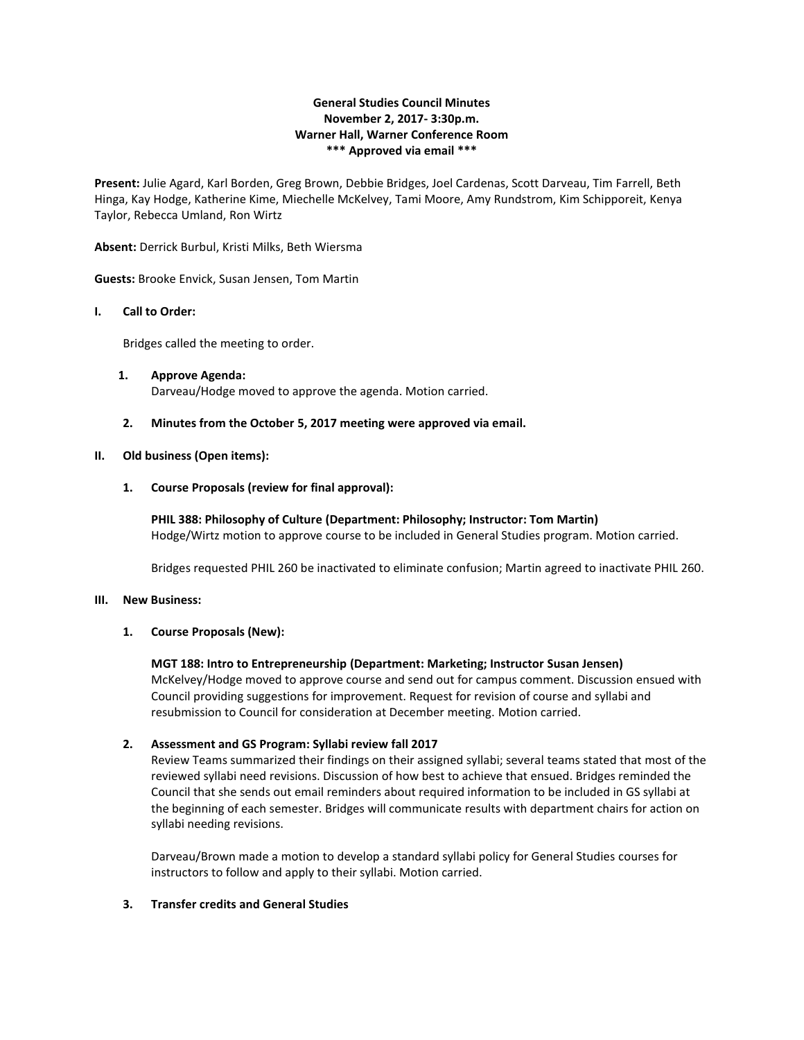# **General Studies Council Minutes November 2, 2017- 3:30p.m. Warner Hall, Warner Conference Room \*\*\* Approved via email \*\*\***

**Present:** Julie Agard, Karl Borden, Greg Brown, Debbie Bridges, Joel Cardenas, Scott Darveau, Tim Farrell, Beth Hinga, Kay Hodge, Katherine Kime, Miechelle McKelvey, Tami Moore, Amy Rundstrom, Kim Schipporeit, Kenya Taylor, Rebecca Umland, Ron Wirtz

**Absent:** Derrick Burbul, Kristi Milks, Beth Wiersma

**Guests:** Brooke Envick, Susan Jensen, Tom Martin

## **I. Call to Order:**

Bridges called the meeting to order.

- **1. Approve Agenda:** Darveau/Hodge moved to approve the agenda. Motion carried.
- **2. Minutes from the October 5, 2017 meeting were approved via email.**

## **II. Old business (Open items):**

**1. Course Proposals (review for final approval):** 

**PHIL 388: Philosophy of Culture (Department: Philosophy; Instructor: Tom Martin)** Hodge/Wirtz motion to approve course to be included in General Studies program. Motion carried.

Bridges requested PHIL 260 be inactivated to eliminate confusion; Martin agreed to inactivate PHIL 260.

#### **III. New Business:**

## **1. Course Proposals (New):**

#### **MGT 188: Intro to Entrepreneurship (Department: Marketing; Instructor Susan Jensen)**

McKelvey/Hodge moved to approve course and send out for campus comment. Discussion ensued with Council providing suggestions for improvement. Request for revision of course and syllabi and resubmission to Council for consideration at December meeting. Motion carried.

## **2. Assessment and GS Program: Syllabi review fall 2017**

Review Teams summarized their findings on their assigned syllabi; several teams stated that most of the reviewed syllabi need revisions. Discussion of how best to achieve that ensued. Bridges reminded the Council that she sends out email reminders about required information to be included in GS syllabi at the beginning of each semester. Bridges will communicate results with department chairs for action on syllabi needing revisions.

Darveau/Brown made a motion to develop a standard syllabi policy for General Studies courses for instructors to follow and apply to their syllabi. Motion carried.

#### **3. Transfer credits and General Studies**